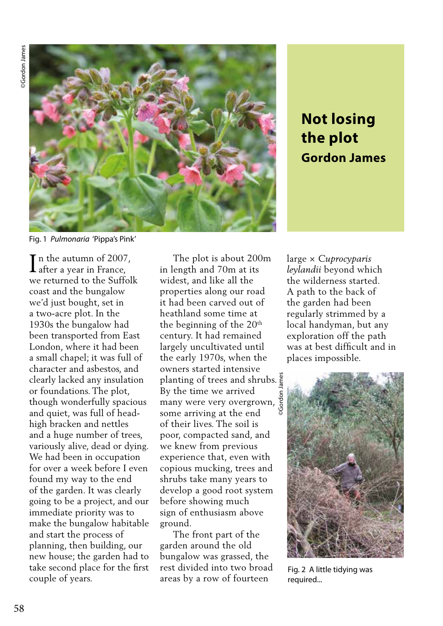

## **Not losing the plot Gordon James**

Fig. 1 *Pulmonaria* 'Pippa's Pink'

 $\mathbf T$ n the autumn of 2007,  $\int$ n the autumn of 2007<br>after a year in France, we returned to the Suffolk coast and the bungalow we'd just bought, set in a two-acre plot. In the 1930s the bungalow had been transported from East London, where it had been a small chapel; it was full of character and asbestos, and clearly lacked any insulation or foundations. The plot, though wonderfully spacious and quiet, was full of headhigh bracken and nettles and a huge number of trees, variously alive, dead or dying. We had been in occupation for over a week before I even found my way to the end of the garden. It was clearly going to be a project, and our immediate priority was to make the bungalow habitable and start the process of planning, then building, our new house; the garden had to take second place for the first couple of years.

 The plot is about 200m in length and 70m at its widest, and like all the properties along our road it had been carved out of heathland some time at the beginning of the  $20<sup>th</sup>$ century. It had remained largely uncultivated until the early 1970s, when the owners started intensive planting of trees and shrubs. By the time we arrived By the time we arrived  $\frac{1}{5}$  many were very overgrown,  $\frac{1}{5}$ some arriving at the end of their lives. The soil is poor, compacted sand, and we knew from previous experience that, even with copious mucking, trees and shrubs take many years to develop a good root system before showing much sign of enthusiasm above ground. ©Gordon James

 The front part of the garden around the old bungalow was grassed, the rest divided into two broad areas by a row of fourteen

large × *Cuprocyparis leylandii* beyond which the wilderness started. A path to the back of the garden had been regularly strimmed by a local handyman, but any exploration off the path was at best difficult and in places impossible.



Fig. 2 A little tidying was required...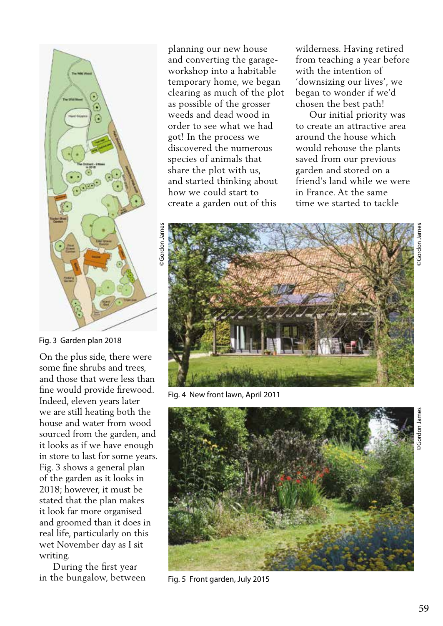

On the plus side, there were some fine shrubs and trees, and those that were less than fine would provide firewood. Indeed, eleven years later we are still heating both the house and water from wood sourced from the garden, and it looks as if we have enough in store to last for some years. Fig. 3 shows a general plan of the garden as it looks in 2018; however, it must be stated that the plan makes it look far more organised and groomed than it does in real life, particularly on this wet November day as I sit

 During the first year in the bungalow, between

writing.

planning our new house and converting the garageworkshop into a habitable temporary home, we began clearing as much of the plot as possible of the grosser weeds and dead wood in order to see what we had got! In the process we discovered the numerous species of animals that share the plot with us, and started thinking about how we could start to create a garden out of this

wilderness. Having retired from teaching a year before with the intention of 'downsizing our lives', we began to wonder if we'd chosen the best path!

 Our initial priority was to create an attractive area around the house which would rehouse the plants saved from our previous garden and stored on a friend's land while we were in France. At the same time we started to tackle



Fig. 4 New front lawn, April 2011



Fig. 5 Front garden, July 2015

©Gordon James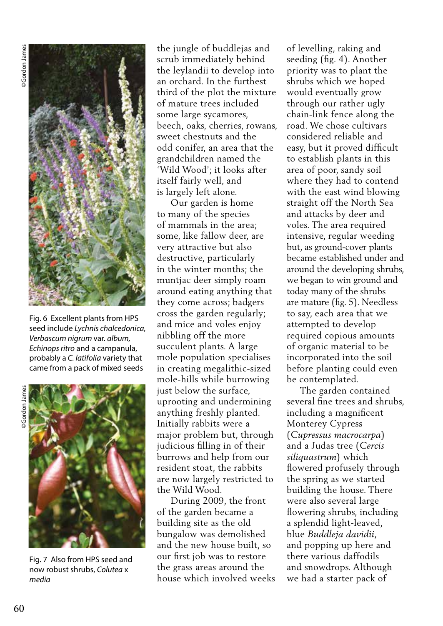

Fig. 6 Excellent plants from HPS seed include *Lychnis chalcedonica, Verbascum nigrum* var. *album, Echinops ritro* and a campanula, probably a *C. latifolia* variety that came from a pack of mixed seeds



Fig. 7 Also from HPS seed and now robust shrubs, *Colutea* x *media*

the jungle of buddlejas and scrub immediately behind the leylandii to develop into an orchard. In the furthest third of the plot the mixture of mature trees included some large sycamores, beech, oaks, cherries, rowans, sweet chestnuts and the odd conifer, an area that the grandchildren named the 'Wild Wood'; it looks after itself fairly well, and is largely left alone.

 Our garden is home to many of the species of mammals in the area; some, like fallow deer, are very attractive but also destructive, particularly in the winter months; the muntjac deer simply roam around eating anything that they come across; badgers cross the garden regularly; and mice and voles enjoy nibbling off the more succulent plants. A large mole population specialises in creating megalithic-sized mole-hills while burrowing just below the surface, uprooting and undermining anything freshly planted. Initially rabbits were a major problem but, through judicious filling in of their burrows and help from our resident stoat, the rabbits are now largely restricted to the Wild Wood.

 During 2009, the front of the garden became a building site as the old bungalow was demolished and the new house built, so our first job was to restore the grass areas around the house which involved weeks of levelling, raking and seeding (fig. 4). Another priority was to plant the shrubs which we hoped would eventually grow through our rather ugly chain-link fence along the road. We chose cultivars considered reliable and easy, but it proved difficult to establish plants in this area of poor, sandy soil where they had to contend with the east wind blowing straight off the North Sea and attacks by deer and voles. The area required intensive, regular weeding but, as ground-cover plants became established under and around the developing shrubs, we began to win ground and today many of the shrubs are mature (fig. 5). Needless to say, each area that we attempted to develop required copious amounts of organic material to be incorporated into the soil before planting could even be contemplated.

 The garden contained several fine trees and shrubs, including a magnificent Monterey Cypress (*Cupressus macrocarpa*) and a Judas tree (*Cercis siliquastrum*) which flowered profusely through the spring as we started building the house. There were also several large flowering shrubs, including a splendid light-leaved, blue *Buddleja davidii*, and popping up here and there various daffodils and snowdrops. Although we had a starter pack of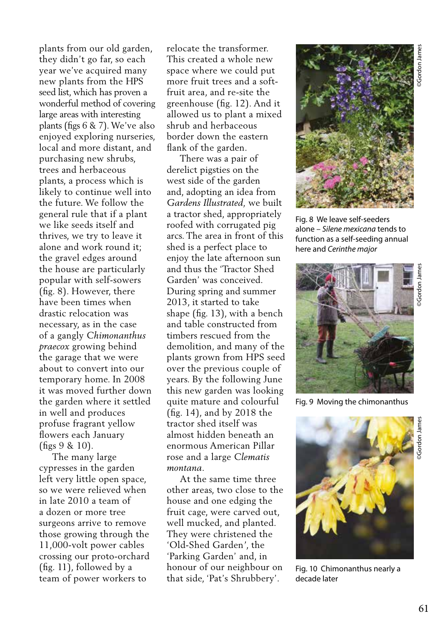plants from our old garden, they didn't go far, so each year we've acquired many new plants from the HPS seed list, which has proven a wonderful method of covering large areas with interesting plants (figs 6 & 7). We've also enjoyed exploring nurseries, local and more distant, and purchasing new shrubs, trees and herbaceous plants, a process which is likely to continue well into the future. We follow the general rule that if a plant we like seeds itself and thrives, we try to leave it alone and work round it; the gravel edges around the house are particularly popular with self-sowers (fig. 8). However, there have been times when drastic relocation was necessary, as in the case of a gangly *Chimonanthus praecox* growing behind the garage that we were about to convert into our temporary home. In 2008 it was moved further down the garden where it settled in well and produces profuse fragrant yellow flowers each January (figs 9 & 10).

 The many large cypresses in the garden left very little open space, so we were relieved when in late 2010 a team of a dozen or more tree surgeons arrive to remove those growing through the 11,000-volt power cables crossing our proto-orchard (fig. 11), followed by a team of power workers to

relocate the transformer. This created a whole new space where we could put more fruit trees and a softfruit area, and re-site the greenhouse (fig. 12). And it allowed us to plant a mixed shrub and herbaceous border down the eastern flank of the garden.

 There was a pair of derelict pigsties on the west side of the garden and, adopting an idea from *Gardens Illustrated,* we built a tractor shed, appropriately roofed with corrugated pig arcs. The area in front of this shed is a perfect place to enjoy the late afternoon sun and thus the 'Tractor Shed Garden' was conceived. During spring and summer 2013, it started to take shape (fig. 13), with a bench and table constructed from timbers rescued from the demolition, and many of the plants grown from HPS seed over the previous couple of years. By the following June this new garden was looking quite mature and colourful (fig. 14), and by 2018 the tractor shed itself was almost hidden beneath an enormous American Pillar rose and a large *Clematis montana*.

 At the same time three other areas, two close to the house and one edging the fruit cage, were carved out, well mucked, and planted. They were christened the 'Old-Shed Garden*'*, the 'Parking Garden' and, in honour of our neighbour on that side, 'Pat's Shrubbery'.



Fig. 8 We leave self-seeders alone – *Silene mexicana* tends to function as a self-seeding annual here and *Cerinthe major*



Fig. 9 Moving the chimonanthus



Fig. 10 Chimonanthus nearly a decade later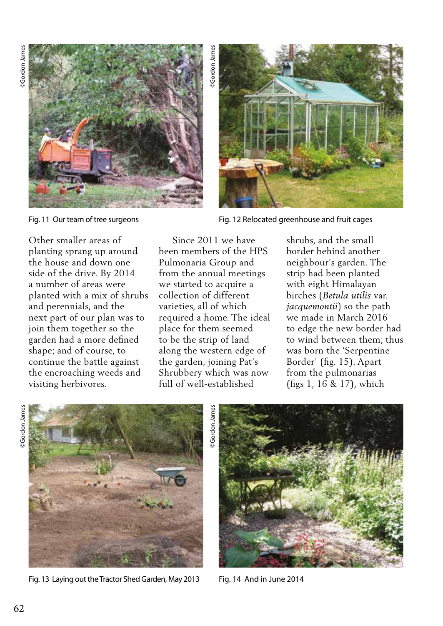

Fig. 11 Our team of tree surgeons

**SGordon Jame** 



Fig. 12 Relocated greenhouse and fruit cages

Other smaller areas of planting sprang up around the house and down one side of the drive. By 2014 a number of areas were planted with a mix of shrubs and perennials, and the next part of our plan was to join them together so the garden had a more defined shape; and of course, to continue the battle against the encroaching weeds and visiting herbivores.

even James ©Gordon James ©Gordon James 2 D D D P P D D D P P D D D D P P D D D D P D D D D D D D D D D D D D D Since 2011 we have been members of the HPS Pulmonaria Group and from the annual meetings we started to acquire a collection of different varieties, all of which required a home. The ideal place for them seemed to be the strip of land along the western edge of the garden, joining Pat's Shrubbery which was now full of well-established

shrubs, and the small border behind another neighbour's garden. The strip had been planted with eight Himalayan birches (*Betula utilis* var. *jacquemontii*) so the path we made in March 2016 to edge the new border had to wind between them; thus was born the 'Serpentine Border' (fig. 15). Apart from the pulmonarias (figs 1, 16 & 17), which



Fig. 13 Laying out the Tractor Shed Garden, May 2013



Fig. 14 And in June 2014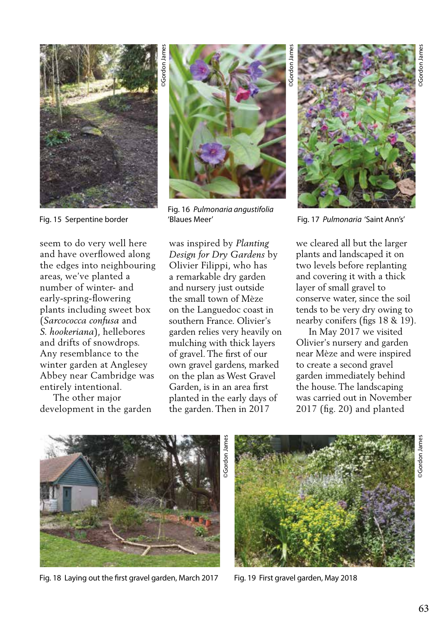

Fig. 15 Serpentine border

seem to do very well here and have overflowed along the edges into neighbouring areas, we've planted a number of winter- and early-spring-flowering plants including sweet box (*Sarcococca confusa* and *S. hookeriana*), hellebores and drifts of snowdrops. Any resemblance to the winter garden at Anglesey Abbey near Cambridge was entirely intentional.

 The other major development in the garden



©Gordon James

Gordon Jame

Fig. 16 *Pulmonaria angustifolia*  'Blaues Meer'

was inspired by *Planting Design for Dry Gardens* by Olivier Filippi, who has a remarkable dry garden and nursery just outside the small town of Mèze on the Languedoc coast in southern France. Olivier's garden relies very heavily on mulching with thick layers of gravel. The first of our own gravel gardens, marked on the plan as West Gravel Garden, is in an area first planted in the early days of the garden. Then in 2017

©Gordon James

Gordon Jame

Fig. 17 *Pulmonaria* 'Saint Ann's'

we cleared all but the larger plants and landscaped it on two levels before replanting and covering it with a thick layer of small gravel to conserve water, since the soil tends to be very dry owing to nearby conifers (figs 18 & 19).

 In May 2017 we visited Olivier's nursery and garden near Mèze and were inspired to create a second gravel garden immediately behind the house. The landscaping was carried out in November 2017 (fig. 20) and planted



Fig. 18 Laying out the first gravel garden, March 2017 Fig. 19 First gravel garden, May 2018